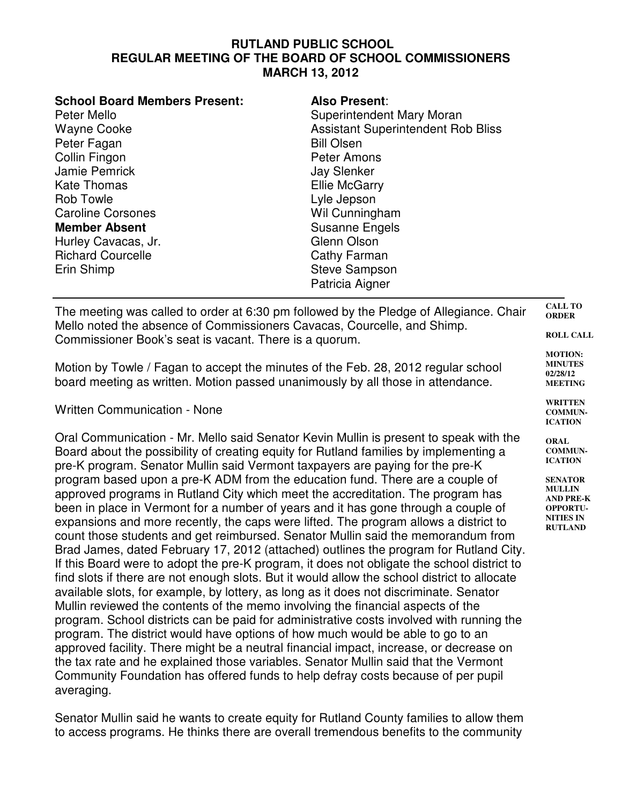## **RUTLAND PUBLIC SCHOOL REGULAR MEETING OF THE BOARD OF SCHOOL COMMISSIONERS MARCH 13, 2012**

| <b>School Board Members Present:</b> | <b>Also Present:</b>                      |
|--------------------------------------|-------------------------------------------|
| Peter Mello                          | Superintendent Mary Moran                 |
| <b>Wayne Cooke</b>                   | <b>Assistant Superintendent Rob Bliss</b> |
| Peter Fagan                          | <b>Bill Olsen</b>                         |
| Collin Fingon                        | Peter Amons                               |
| Jamie Pemrick                        | <b>Jay Slenker</b>                        |
| <b>Kate Thomas</b>                   | <b>Ellie McGarry</b>                      |
| <b>Rob Towle</b>                     | Lyle Jepson                               |
| <b>Caroline Corsones</b>             | Wil Cunningham                            |
| <b>Member Absent</b>                 | <b>Susanne Engels</b>                     |
| Hurley Cavacas, Jr.                  | Glenn Olson                               |
| <b>Richard Courcelle</b>             | Cathy Farman                              |
| Erin Shimp                           | <b>Steve Sampson</b>                      |
|                                      | Patricia Aigner                           |
|                                      |                                           |

**CALL TO ORDER ROLL CALL** The meeting was called to order at 6:30 pm followed by the Pledge of Allegiance. Chair Mello noted the absence of Commissioners Cavacas, Courcelle, and Shimp. Commissioner Book's seat is vacant. There is a quorum.

> **MOTION: MINUTES 02/28/12 MEETING WRITTEN COMMUN-ICATION ORAL COMMUN-ICATION SENATOR MULLIN AND PRE-K OPPORTU-NITIES IN RUTLAND**

Motion by Towle / Fagan to accept the minutes of the Feb. 28, 2012 regular school board meeting as written. Motion passed unanimously by all those in attendance.

Written Communication - None

Oral Communication - Mr. Mello said Senator Kevin Mullin is present to speak with the Board about the possibility of creating equity for Rutland families by implementing a pre-K program. Senator Mullin said Vermont taxpayers are paying for the pre-K program based upon a pre-K ADM from the education fund. There are a couple of approved programs in Rutland City which meet the accreditation. The program has been in place in Vermont for a number of years and it has gone through a couple of expansions and more recently, the caps were lifted. The program allows a district to count those students and get reimbursed. Senator Mullin said the memorandum from Brad James, dated February 17, 2012 (attached) outlines the program for Rutland City. If this Board were to adopt the pre-K program, it does not obligate the school district to find slots if there are not enough slots. But it would allow the school district to allocate available slots, for example, by lottery, as long as it does not discriminate. Senator Mullin reviewed the contents of the memo involving the financial aspects of the program. School districts can be paid for administrative costs involved with running the program. The district would have options of how much would be able to go to an approved facility. There might be a neutral financial impact, increase, or decrease on the tax rate and he explained those variables. Senator Mullin said that the Vermont Community Foundation has offered funds to help defray costs because of per pupil averaging.

Senator Mullin said he wants to create equity for Rutland County families to allow them to access programs. He thinks there are overall tremendous benefits to the community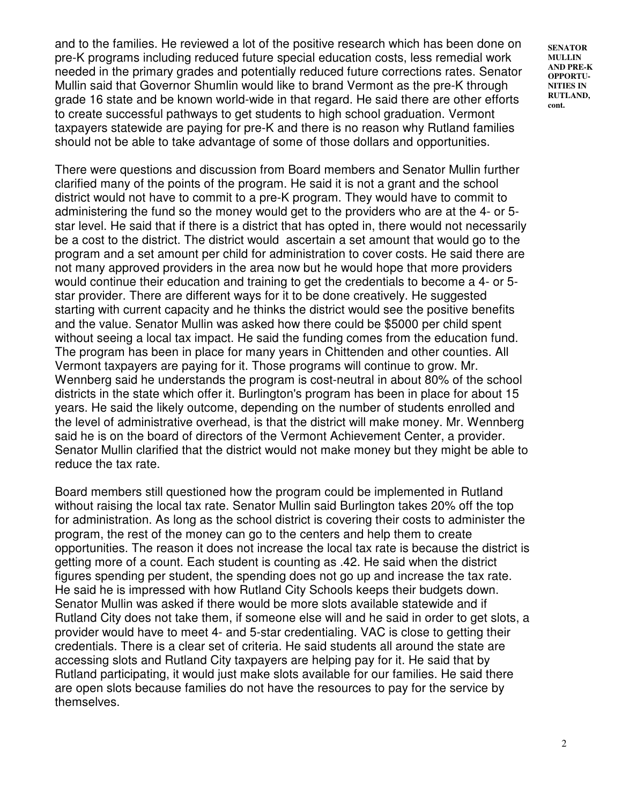and to the families. He reviewed a lot of the positive research which has been done on pre-K programs including reduced future special education costs, less remedial work needed in the primary grades and potentially reduced future corrections rates. Senator Mullin said that Governor Shumlin would like to brand Vermont as the pre-K through grade 16 state and be known world-wide in that regard. He said there are other efforts to create successful pathways to get students to high school graduation. Vermont taxpayers statewide are paying for pre-K and there is no reason why Rutland families should not be able to take advantage of some of those dollars and opportunities.

There were questions and discussion from Board members and Senator Mullin further clarified many of the points of the program. He said it is not a grant and the school district would not have to commit to a pre-K program. They would have to commit to administering the fund so the money would get to the providers who are at the 4- or 5 star level. He said that if there is a district that has opted in, there would not necessarily be a cost to the district. The district would ascertain a set amount that would go to the program and a set amount per child for administration to cover costs. He said there are not many approved providers in the area now but he would hope that more providers would continue their education and training to get the credentials to become a 4- or 5 star provider. There are different ways for it to be done creatively. He suggested starting with current capacity and he thinks the district would see the positive benefits and the value. Senator Mullin was asked how there could be \$5000 per child spent without seeing a local tax impact. He said the funding comes from the education fund. The program has been in place for many years in Chittenden and other counties. All Vermont taxpayers are paying for it. Those programs will continue to grow. Mr. Wennberg said he understands the program is cost-neutral in about 80% of the school districts in the state which offer it. Burlington's program has been in place for about 15 years. He said the likely outcome, depending on the number of students enrolled and the level of administrative overhead, is that the district will make money. Mr. Wennberg said he is on the board of directors of the Vermont Achievement Center, a provider. Senator Mullin clarified that the district would not make money but they might be able to reduce the tax rate.

Board members still questioned how the program could be implemented in Rutland without raising the local tax rate. Senator Mullin said Burlington takes 20% off the top for administration. As long as the school district is covering their costs to administer the program, the rest of the money can go to the centers and help them to create opportunities. The reason it does not increase the local tax rate is because the district is getting more of a count. Each student is counting as .42. He said when the district figures spending per student, the spending does not go up and increase the tax rate. He said he is impressed with how Rutland City Schools keeps their budgets down. Senator Mullin was asked if there would be more slots available statewide and if Rutland City does not take them, if someone else will and he said in order to get slots, a provider would have to meet 4- and 5-star credentialing. VAC is close to getting their credentials. There is a clear set of criteria. He said students all around the state are accessing slots and Rutland City taxpayers are helping pay for it. He said that by Rutland participating, it would just make slots available for our families. He said there are open slots because families do not have the resources to pay for the service by themselves.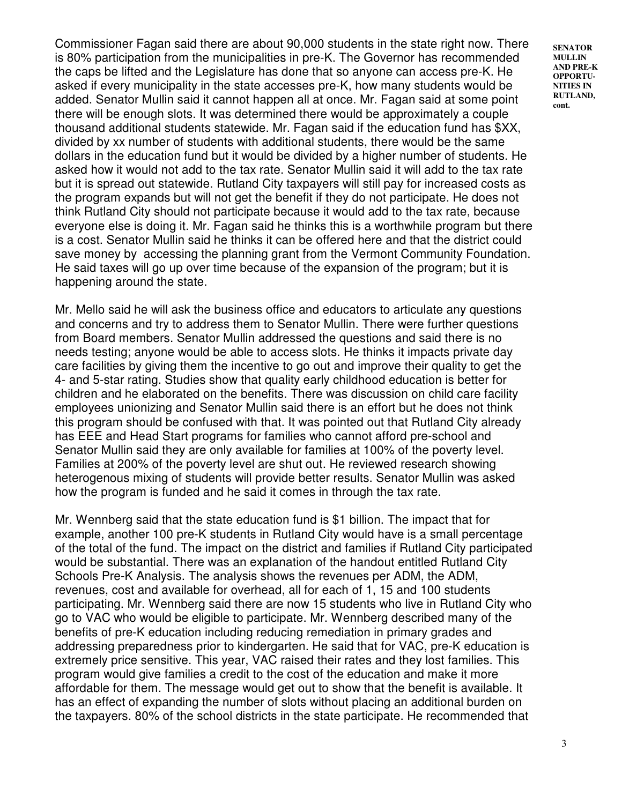Commissioner Fagan said there are about 90,000 students in the state right now. There is 80% participation from the municipalities in pre-K. The Governor has recommended the caps be lifted and the Legislature has done that so anyone can access pre-K. He asked if every municipality in the state accesses pre-K, how many students would be added. Senator Mullin said it cannot happen all at once. Mr. Fagan said at some point there will be enough slots. It was determined there would be approximately a couple thousand additional students statewide. Mr. Fagan said if the education fund has \$XX, divided by xx number of students with additional students, there would be the same dollars in the education fund but it would be divided by a higher number of students. He asked how it would not add to the tax rate. Senator Mullin said it will add to the tax rate but it is spread out statewide. Rutland City taxpayers will still pay for increased costs as the program expands but will not get the benefit if they do not participate. He does not think Rutland City should not participate because it would add to the tax rate, because everyone else is doing it. Mr. Fagan said he thinks this is a worthwhile program but there is a cost. Senator Mullin said he thinks it can be offered here and that the district could save money by accessing the planning grant from the Vermont Community Foundation. He said taxes will go up over time because of the expansion of the program; but it is happening around the state.

Mr. Mello said he will ask the business office and educators to articulate any questions and concerns and try to address them to Senator Mullin. There were further questions from Board members. Senator Mullin addressed the questions and said there is no needs testing; anyone would be able to access slots. He thinks it impacts private day care facilities by giving them the incentive to go out and improve their quality to get the 4- and 5-star rating. Studies show that quality early childhood education is better for children and he elaborated on the benefits. There was discussion on child care facility employees unionizing and Senator Mullin said there is an effort but he does not think this program should be confused with that. It was pointed out that Rutland City already has EEE and Head Start programs for families who cannot afford pre-school and Senator Mullin said they are only available for families at 100% of the poverty level. Families at 200% of the poverty level are shut out. He reviewed research showing heterogenous mixing of students will provide better results. Senator Mullin was asked how the program is funded and he said it comes in through the tax rate.

Mr. Wennberg said that the state education fund is \$1 billion. The impact that for example, another 100 pre-K students in Rutland City would have is a small percentage of the total of the fund. The impact on the district and families if Rutland City participated would be substantial. There was an explanation of the handout entitled Rutland City Schools Pre-K Analysis. The analysis shows the revenues per ADM, the ADM, revenues, cost and available for overhead, all for each of 1, 15 and 100 students participating. Mr. Wennberg said there are now 15 students who live in Rutland City who go to VAC who would be eligible to participate. Mr. Wennberg described many of the benefits of pre-K education including reducing remediation in primary grades and addressing preparedness prior to kindergarten. He said that for VAC, pre-K education is extremely price sensitive. This year, VAC raised their rates and they lost families. This program would give families a credit to the cost of the education and make it more affordable for them. The message would get out to show that the benefit is available. It has an effect of expanding the number of slots without placing an additional burden on the taxpayers. 80% of the school districts in the state participate. He recommended that

**SENATOR MULLIN AND PRE-K OPPORTU-NITIES IN RUTLAND, cont.**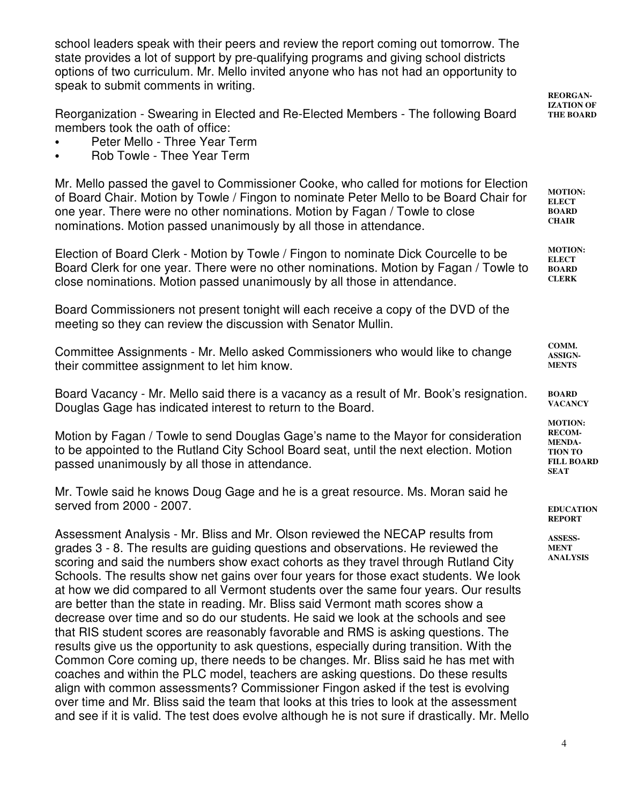school leaders speak with their peers and review the report coming out tomorrow. The state provides a lot of support by pre-qualifying programs and giving school districts options of two curriculum. Mr. Mello invited anyone who has not had an opportunity to speak to submit comments in writing.

**REORGAN-**

4 **IZATION OF THE BOARD MOTION: ELECT BOARD CHAIR MOTION: ELECT BOARD CLERK COMM. ASSIGN-MENTS BOARD VACANCY MOTION: RECOM-MENDA-TION TO FILL BOARD SEAT EDUCATION REPORT ASSESS-MENT ANALYSIS** Reorganization - Swearing in Elected and Re-Elected Members - The following Board members took the oath of office: Peter Mello - Three Year Term Rob Towle - Thee Year Term Mr. Mello passed the gavel to Commissioner Cooke, who called for motions for Election of Board Chair. Motion by Towle / Fingon to nominate Peter Mello to be Board Chair for one year. There were no other nominations. Motion by Fagan / Towle to close nominations. Motion passed unanimously by all those in attendance. Election of Board Clerk - Motion by Towle / Fingon to nominate Dick Courcelle to be Board Clerk for one year. There were no other nominations. Motion by Fagan / Towle to close nominations. Motion passed unanimously by all those in attendance. Board Commissioners not present tonight will each receive a copy of the DVD of the meeting so they can review the discussion with Senator Mullin. Committee Assignments - Mr. Mello asked Commissioners who would like to change their committee assignment to let him know. Board Vacancy - Mr. Mello said there is a vacancy as a result of Mr. Book's resignation. Douglas Gage has indicated interest to return to the Board. Motion by Fagan / Towle to send Douglas Gage's name to the Mayor for consideration to be appointed to the Rutland City School Board seat, until the next election. Motion passed unanimously by all those in attendance. Mr. Towle said he knows Doug Gage and he is a great resource. Ms. Moran said he served from 2000 - 2007. Assessment Analysis - Mr. Bliss and Mr. Olson reviewed the NECAP results from grades 3 - 8. The results are guiding questions and observations. He reviewed the scoring and said the numbers show exact cohorts as they travel through Rutland City Schools. The results show net gains over four years for those exact students. We look at how we did compared to all Vermont students over the same four years. Our results are better than the state in reading. Mr. Bliss said Vermont math scores show a decrease over time and so do our students. He said we look at the schools and see that RIS student scores are reasonably favorable and RMS is asking questions. The results give us the opportunity to ask questions, especially during transition. With the Common Core coming up, there needs to be changes. Mr. Bliss said he has met with coaches and within the PLC model, teachers are asking questions. Do these results align with common assessments? Commissioner Fingon asked if the test is evolving over time and Mr. Bliss said the team that looks at this tries to look at the assessment and see if it is valid. The test does evolve although he is not sure if drastically. Mr. Mello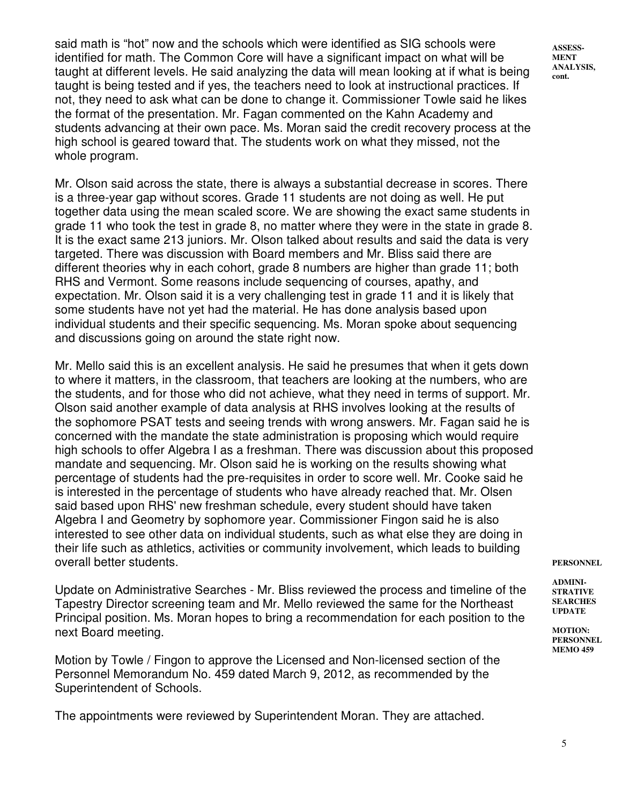said math is "hot" now and the schools which were identified as SIG schools were identified for math. The Common Core will have a significant impact on what will be taught at different levels. He said analyzing the data will mean looking at if what is being taught is being tested and if yes, the teachers need to look at instructional practices. If not, they need to ask what can be done to change it. Commissioner Towle said he likes the format of the presentation. Mr. Fagan commented on the Kahn Academy and students advancing at their own pace. Ms. Moran said the credit recovery process at the high school is geared toward that. The students work on what they missed, not the whole program.

Mr. Olson said across the state, there is always a substantial decrease in scores. There is a three-year gap without scores. Grade 11 students are not doing as well. He put together data using the mean scaled score. We are showing the exact same students in grade 11 who took the test in grade 8, no matter where they were in the state in grade 8. It is the exact same 213 juniors. Mr. Olson talked about results and said the data is very targeted. There was discussion with Board members and Mr. Bliss said there are different theories why in each cohort, grade 8 numbers are higher than grade 11; both RHS and Vermont. Some reasons include sequencing of courses, apathy, and expectation. Mr. Olson said it is a very challenging test in grade 11 and it is likely that some students have not yet had the material. He has done analysis based upon individual students and their specific sequencing. Ms. Moran spoke about sequencing and discussions going on around the state right now.

Mr. Mello said this is an excellent analysis. He said he presumes that when it gets down to where it matters, in the classroom, that teachers are looking at the numbers, who are the students, and for those who did not achieve, what they need in terms of support. Mr. Olson said another example of data analysis at RHS involves looking at the results of the sophomore PSAT tests and seeing trends with wrong answers. Mr. Fagan said he is concerned with the mandate the state administration is proposing which would require high schools to offer Algebra I as a freshman. There was discussion about this proposed mandate and sequencing. Mr. Olson said he is working on the results showing what percentage of students had the pre-requisites in order to score well. Mr. Cooke said he is interested in the percentage of students who have already reached that. Mr. Olsen said based upon RHS' new freshman schedule, every student should have taken Algebra I and Geometry by sophomore year. Commissioner Fingon said he is also interested to see other data on individual students, such as what else they are doing in their life such as athletics, activities or community involvement, which leads to building overall better students.

Update on Administrative Searches - Mr. Bliss reviewed the process and timeline of the Tapestry Director screening team and Mr. Mello reviewed the same for the Northeast Principal position. Ms. Moran hopes to bring a recommendation for each position to the next Board meeting.

Motion by Towle / Fingon to approve the Licensed and Non-licensed section of the Personnel Memorandum No. 459 dated March 9, 2012, as recommended by the Superintendent of Schools.

The appointments were reviewed by Superintendent Moran. They are attached.

**PERSONNEL**

**ADMINI-STRATIVE SEARCHES UPDATE**

**MOTION: PERSONNEL MEMO 459**

**ASSESS-MENT ANALYSIS, cont.**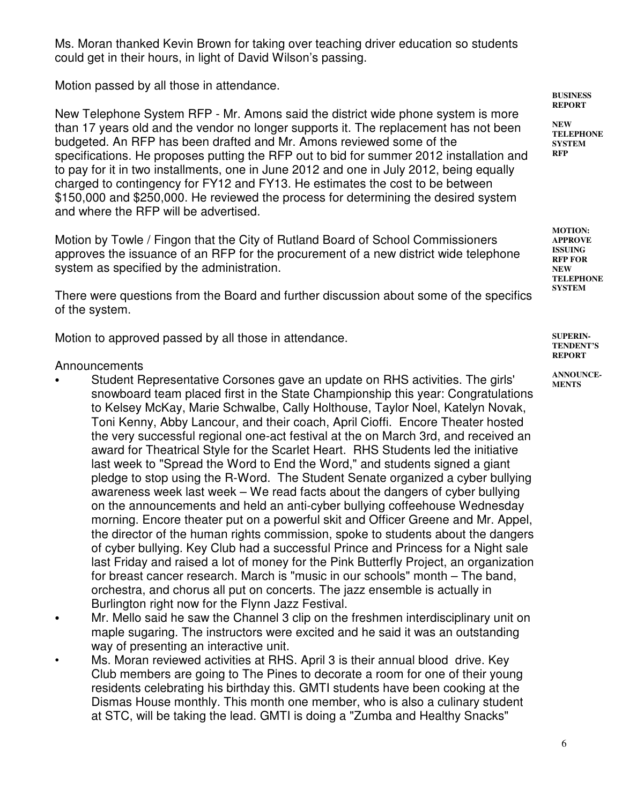Ms. Moran thanked Kevin Brown for taking over teaching driver education so students could get in their hours, in light of David Wilson's passing.

Motion passed by all those in attendance.

New Telephone System RFP - Mr. Amons said the district wide phone system is more than 17 years old and the vendor no longer supports it. The replacement has not been budgeted. An RFP has been drafted and Mr. Amons reviewed some of the specifications. He proposes putting the RFP out to bid for summer 2012 installation and to pay for it in two installments, one in June 2012 and one in July 2012, being equally charged to contingency for FY12 and FY13. He estimates the cost to be between \$150,000 and \$250,000. He reviewed the process for determining the desired system and where the RFP will be advertised.

Motion by Towle / Fingon that the City of Rutland Board of School Commissioners approves the issuance of an RFP for the procurement of a new district wide telephone system as specified by the administration.

There were questions from the Board and further discussion about some of the specifics of the system.

Motion to approved passed by all those in attendance.

Announcements

- Student Representative Corsones gave an update on RHS activities. The girls' snowboard team placed first in the State Championship this year: Congratulations to Kelsey McKay, Marie Schwalbe, Cally Holthouse, Taylor Noel, Katelyn Novak, Toni Kenny, Abby Lancour, and their coach, April Cioffi. Encore Theater hosted the very successful regional one-act festival at the on March 3rd, and received an award for Theatrical Style for the Scarlet Heart. RHS Students led the initiative last week to "Spread the Word to End the Word," and students signed a giant pledge to stop using the R-Word. The Student Senate organized a cyber bullying awareness week last week – We read facts about the dangers of cyber bullying on the announcements and held an anti-cyber bullying coffeehouse Wednesday morning. Encore theater put on a powerful skit and Officer Greene and Mr. Appel, the director of the human rights commission, spoke to students about the dangers of cyber bullying. Key Club had a successful Prince and Princess for a Night sale last Friday and raised a lot of money for the Pink Butterfly Project, an organization for breast cancer research. March is "music in our schools" month – The band, orchestra, and chorus all put on concerts. The jazz ensemble is actually in Burlington right now for the Flynn Jazz Festival.
- Mr. Mello said he saw the Channel 3 clip on the freshmen interdisciplinary unit on maple sugaring. The instructors were excited and he said it was an outstanding way of presenting an interactive unit.
- Ms. Moran reviewed activities at RHS. April 3 is their annual blood drive. Key Club members are going to The Pines to decorate a room for one of their young residents celebrating his birthday this. GMTI students have been cooking at the Dismas House monthly. This month one member, who is also a culinary student at STC, will be taking the lead. GMTI is doing a "Zumba and Healthy Snacks"

**BUSINESS REPORT**

**NEW TELEPHONE SYSTEM RFP**

**MOTION: APPROVE ISSUING RFP FOR NEW TELEPHONE SYSTEM**

**SUPERIN-TENDENT'S REPORT**

**ANNOUNCE-MENTS**